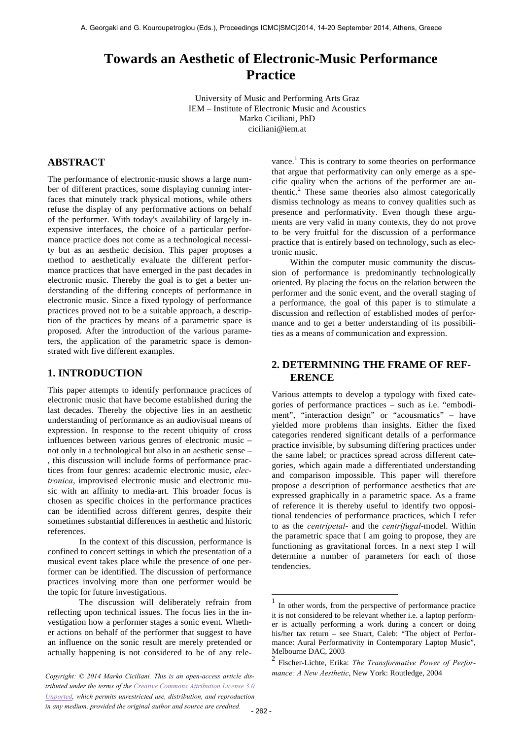# **Towards an Aesthetic of Electronic-Music Performance Practice**

University of Music and Performing Arts Graz IEM – Institute of Electronic Music and Acoustics Marko Ciciliani, PhD ciciliani@iem.at

# **ABSTRACT**

The performance of electronic-music shows a large number of different practices, some displaying cunning interfaces that minutely track physical motions, while others refuse the display of any performative actions on behalf of the performer. With today's availability of largely inexpensive interfaces, the choice of a particular performance practice does not come as a technological necessity but as an aesthetic decision. This paper proposes a method to aesthetically evaluate the different performance practices that have emerged in the past decades in electronic music. Thereby the goal is to get a better understanding of the differing concepts of performance in electronic music. Since a fixed typology of performance practices proved not to be a suitable approach, a description of the practices by means of a parametric space is proposed. After the introduction of the various parameters, the application of the parametric space is demonstrated with five different examples.

# **1. INTRODUCTION**

This paper attempts to identify performance practices of electronic music that have become established during the last decades. Thereby the objective lies in an aesthetic understanding of performance as an audiovisual means of expression. In response to the recent ubiquity of cross influences between various genres of electronic music – not only in a technological but also in an aesthetic sense – , this discussion will include forms of performance practices from four genres: academic electronic music, *electronica*, improvised electronic music and electronic music with an affinity to media-art. This broader focus is chosen as specific choices in the performance practices can be identified across different genres, despite their sometimes substantial differences in aesthetic and historic references.

In the context of this discussion, performance is confined to concert settings in which the presentation of a musical event takes place while the presence of one performer can be identified. The discussion of performance practices involving more than one performer would be the topic for future investigations.

The discussion will deliberately refrain from reflecting upon technical issues. The focus lies in the investigation how a performer stages a sonic event. Whether actions on behalf of the performer that suggest to have an influence on the sonic result are merely pretended or actually happening is not considered to be of any relevance.<sup>1</sup> This is contrary to some theories on performance that argue that performativity can only emerge as a specific quality when the actions of the performer are authentic. <sup>2</sup> These same theories also almost categorically dismiss technology as means to convey qualities such as presence and performativity. Even though these arguments are very valid in many contexts, they do not prove to be very fruitful for the discussion of a performance practice that is entirely based on technology, such as electronic music.

Within the computer music community the discussion of performance is predominantly technologically oriented. By placing the focus on the relation between the performer and the sonic event, and the overall staging of a performance, the goal of this paper is to stimulate a discussion and reflection of established modes of performance and to get a better understanding of its possibilities as a means of communication and expression.

# **2. DETERMINING THE FRAME OF REF-ERENCE**

Various attempts to develop a typology with fixed categories of performance practices – such as i.e. "embodiment", "interaction design" or "acousmatics" – have yielded more problems than insights. Either the fixed categories rendered significant details of a performance practice invisible, by subsuming differing practices under the same label; or practices spread across different categories, which again made a differentiated understanding and comparison impossible. This paper will therefore propose a description of performance aesthetics that are expressed graphically in a parametric space. As a frame of reference it is thereby useful to identify two oppositional tendencies of performance practices, which I refer to as the *centripetal*- and the *centrifugal*-model. Within the parametric space that I am going to propose, they are functioning as gravitational forces. In a next step I will determine a number of parameters for each of those tendencies.

1

*tributed under the terms of the Creative Commons Attribution License 3.0 Unported, which permits unrestricted use, distribution, and reproduction in any medium, provided the original author and source are credited.*

In other words, from the perspective of performance practice it is not considered to be relevant whether i.e. a laptop performer is actually performing a work during a concert or doing his/her tax return – see Stuart, Caleb: "The object of Performance: Aural Performativity in Contemporary Laptop Music", Melbourne DAC, 2003

<sup>2</sup> Fischer-Lichte, Erika: *The Transformative Power of Performance: A New Aesthetic*, New York: Routledge, 2004 *Copyright: © 2014 Marko Ciciliani. This is an open-access article dis-*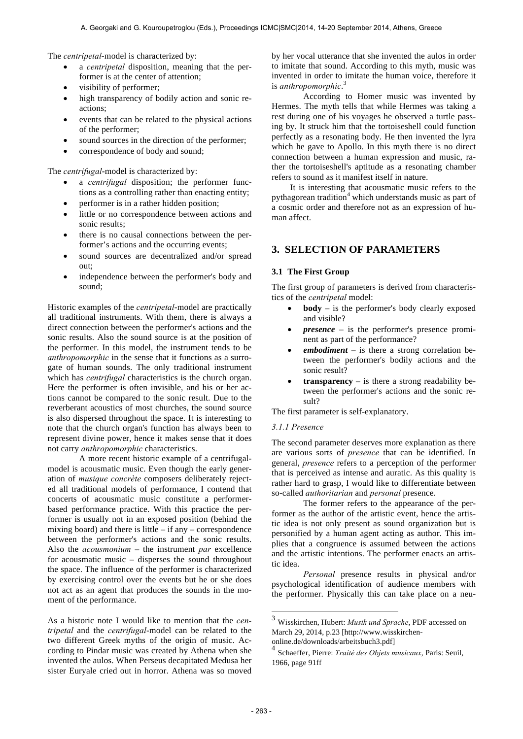The *centripetal*-model is characterized by:

- a *centripetal* disposition, meaning that the performer is at the center of attention;
- visibility of performer;
- high transparency of bodily action and sonic reactions;
- events that can be related to the physical actions of the performer;
- sound sources in the direction of the performer:
- correspondence of body and sound;

The *centrifugal*-model is characterized by:

- a *centrifugal* disposition; the performer functions as a controlling rather than enacting entity;
- performer is in a rather hidden position;
- little or no correspondence between actions and sonic results;
- there is no causal connections between the performer's actions and the occurring events;
- sound sources are decentralized and/or spread out;
- independence between the performer's body and sound;

Historic examples of the *centripetal*-model are practically all traditional instruments. With them, there is always a direct connection between the performer's actions and the sonic results. Also the sound source is at the position of the performer. In this model, the instrument tends to be *anthropomorphic* in the sense that it functions as a surrogate of human sounds. The only traditional instrument which has *centrifugal* characteristics is the church organ. Here the performer is often invisible, and his or her actions cannot be compared to the sonic result. Due to the reverberant acoustics of most churches, the sound source is also dispersed throughout the space. It is interesting to note that the church organ's function has always been to represent divine power, hence it makes sense that it does not carry *anthropomorphic* characteristics.

A more recent historic example of a centrifugalmodel is acousmatic music. Even though the early generation of *musique concrète* composers deliberately rejected all traditional models of performance, I contend that concerts of acousmatic music constitute a performerbased performance practice. With this practice the performer is usually not in an exposed position (behind the mixing board) and there is little  $-$  if any  $-$  correspondence between the performer's actions and the sonic results. Also the *acousmonium* – the instrument *par* excellence for acousmatic music – disperses the sound throughout the space. The influence of the performer is characterized by exercising control over the events but he or she does not act as an agent that produces the sounds in the moment of the performance.

As a historic note I would like to mention that the *centripetal* and the *centrifugal*-model can be related to the two different Greek myths of the origin of music. According to Pindar music was created by Athena when she invented the aulos. When Perseus decapitated Medusa her sister Euryale cried out in horror. Athena was so moved by her vocal utterance that she invented the aulos in order to imitate that sound. According to this myth, music was invented in order to imitate the human voice, therefore it is *anthropomorphic*. 3

According to Homer music was invented by Hermes. The myth tells that while Hermes was taking a rest during one of his voyages he observed a turtle passing by. It struck him that the tortoiseshell could function perfectly as a resonating body. He then invented the lyra which he gave to Apollo. In this myth there is no direct connection between a human expression and music, rather the tortoiseshell's aptitude as a resonating chamber refers to sound as it manifest itself in nature.

It is interesting that acousmatic music refers to the pythagorean tradition<sup>4</sup> which understands music as part of a cosmic order and therefore not as an expression of human affect.

# **3. SELECTION OF PARAMETERS**

#### **3.1 The First Group**

The first group of parameters is derived from characteristics of the *centripetal* model:

- **body** is the performer's body clearly exposed and visible?
- *presence* is the performer's presence prominent as part of the performance?
- *embodiment* is there a strong correlation between the performer's bodily actions and the sonic result?
- **transparency** is there a strong readability between the performer's actions and the sonic result?

The first parameter is self-explanatory.

### *3.1.1 Presence*

The second parameter deserves more explanation as there are various sorts of *presence* that can be identified. In general, *presence* refers to a perception of the performer that is perceived as intense and auratic. As this quality is rather hard to grasp, I would like to differentiate between so-called *authoritarian* and *personal* presence.

The former refers to the appearance of the performer as the author of the artistic event, hence the artistic idea is not only present as sound organization but is personified by a human agent acting as author. This implies that a congruence is assumed between the actions and the artistic intentions. The performer enacts an artistic idea.

*Personal* presence results in physical and/or psychological identification of audience members with the performer. Physically this can take place on a neu-

1

<sup>3</sup> Wisskirchen, Hubert: *Musik und Sprache*, PDF accessed on March 29, 2014, p.23 [http://www.wisskirchenonline.de/downloads/arbeitsbuch3.pdf]

<sup>4</sup> Schaeffer, Pierre: *Traité des Objets musicaux*, Paris: Seuil, 1966, page 91ff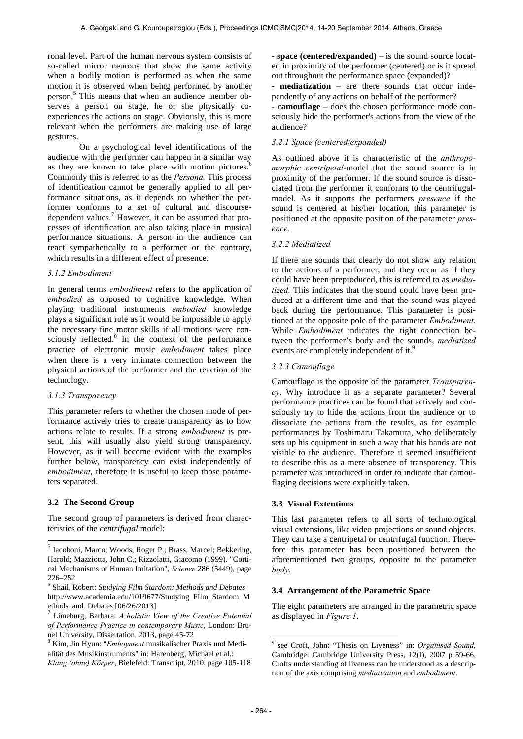ronal level. Part of the human nervous system consists of so-called mirror neurons that show the same activity when a bodily motion is performed as when the same motion it is observed when being performed by another person.<sup>5</sup> This means that when an audience member observes a person on stage, he or she physically coexperiences the actions on stage. Obviously, this is more relevant when the performers are making use of large gestures.

On a psychological level identifications of the audience with the performer can happen in a similar way as they are known to take place with motion pictures. Commonly this is referred to as the *Persona.* This process of identification cannot be generally applied to all performance situations, as it depends on whether the performer conforms to a set of cultural and discoursedependent values.<sup>7</sup> However, it can be assumed that processes of identification are also taking place in musical performance situations. A person in the audience can react sympathetically to a performer or the contrary, which results in a different effect of presence.

#### *3.1.2 Embodiment*

In general terms *embodiment* refers to the application of *embodied* as opposed to cognitive knowledge. When playing traditional instruments *embodied* knowledge plays a significant role as it would be impossible to apply the necessary fine motor skills if all motions were consciously reflected.<sup>8</sup> In the context of the performance practice of electronic music *embodiment* takes place when there is a very intimate connection between the physical actions of the performer and the reaction of the technology.

#### *3.1.3 Transparency*

This parameter refers to whether the chosen mode of performance actively tries to create transparency as to how actions relate to results. If a strong *embodiment* is present, this will usually also yield strong transparency. However, as it will become evident with the examples further below, transparency can exist independently of *embodiment*, therefore it is useful to keep those parameters separated.

#### **3.2 The Second Group**

-

The second group of parameters is derived from characteristics of the *centrifugal* model:

**- space (centered/expanded)** – is the sound source located in proximity of the performer (centered) or is it spread out throughout the performance space (expanded)?

**- mediatization** – are there sounds that occur independently of any actions on behalf of the performer?

**- camouflage** – does the chosen performance mode consciously hide the performer's actions from the view of the audience?

#### *3.2.1 Space (centered/expanded)*

As outlined above it is characteristic of the *anthropomorphic centripetal*-model that the sound source is in proximity of the performer. If the sound source is dissociated from the performer it conforms to the centrifugalmodel. As it supports the performers *presence* if the sound is centered at his/her location, this parameter is positioned at the opposite position of the parameter *presence.*

#### *3.2.2 Mediatized*

If there are sounds that clearly do not show any relation to the actions of a performer, and they occur as if they could have been preproduced, this is referred to as *mediatized.* This indicates that the sound could have been produced at a different time and that the sound was played back during the performance. This parameter is positioned at the opposite pole of the parameter *Embodiment*. While *Embodiment* indicates the tight connection between the performer's body and the sounds, *mediatized* events are completely independent of it.<sup>9</sup>

#### *3.2.3 Camouflage*

Camouflage is the opposite of the parameter *Transparency*. Why introduce it as a separate parameter? Several performance practices can be found that actively and consciously try to hide the actions from the audience or to dissociate the actions from the results, as for example performances by Toshimaru Takamura, who deliberately sets up his equipment in such a way that his hands are not visible to the audience. Therefore it seemed insufficient to describe this as a mere absence of transparency. This parameter was introduced in order to indicate that camouflaging decisions were explicitly taken.

#### **3.3 Visual Extentions**

This last parameter refers to all sorts of technological visual extensions, like video projections or sound objects. They can take a centripetal or centrifugal function. Therefore this parameter has been positioned between the aforementioned two groups, opposite to the parameter *body*.

#### **3.4 Arrangement of the Parametric Space**

The eight parameters are arranged in the parametric space as displayed in *Figure 1*.

1

<sup>5</sup> Iacoboni, Marco; Woods, Roger P.; Brass, Marcel; Bekkering, Harold; Mazziotta, John C.; Rizzolatti, Giacomo (1999). "Cortical Mechanisms of Human Imitation", *Science* 286 (5449), page 226–252

<sup>6</sup> Shail, Robert: *Studying Film Stardom: Methods and Debates* http://www.academia.edu/1019677/Studying\_Film\_Stardom\_M ethods\_and\_Debates  $[06/26/2013]$ 

<sup>7</sup> Lüneburg, Barbara: *A holistic View of the Creative Potential of Performance Practice in contemporary Music*, London: Brunel University, Dissertation, 2013, page 45-72

<sup>8</sup> Kim, Jin Hyun: "*Emboyment* musikalischer Praxis und Medialität des Musikinstruments" in: Harenberg, Michael et al.: *Klang (ohne) Körper*, Bielefeld: Transcript, 2010, page 105-118

<sup>9</sup> see Croft, John: "Thesis on Liveness" in: *Organised Sound,* Cambridge: Cambridge University Press, 12(I), 2007 p 59-66, Crofts understanding of liveness can be understood as a description of the axis comprising *mediatization* and *embodiment*.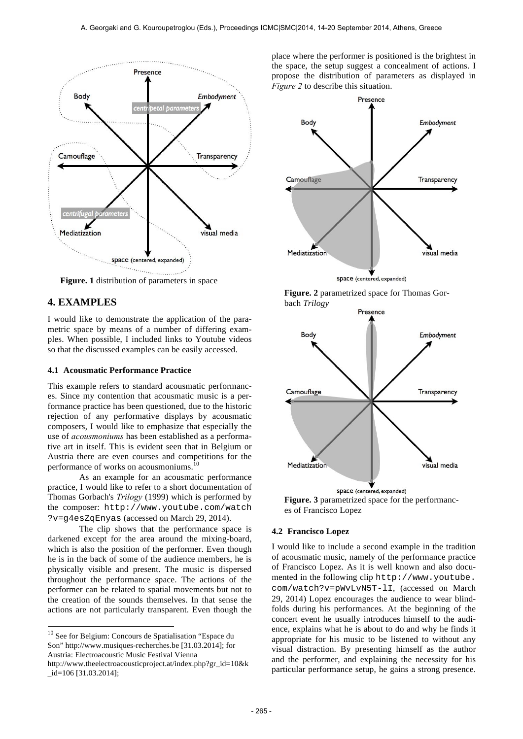

**Figure. 1** distribution of parameters in space

# **4. EXAMPLES**

l

I would like to demonstrate the application of the parametric space by means of a number of differing examples. When possible, I included links to Youtube videos so that the discussed examples can be easily accessed.

### **4.1 Acousmatic Performance Practice**

This example refers to standard acousmatic performances. Since my contention that acousmatic music is a performance practice has been questioned, due to the historic rejection of any performative displays by acousmatic composers, I would like to emphasize that especially the use of *acousmoniums* has been established as a performative art in itself. This is evident seen that in Belgium or Austria there are even courses and competitions for the performance of works on acousmoniums.<sup>10</sup>

As an example for an acousmatic performance practice, I would like to refer to a short documentation of Thomas Gorbach's *Trilogy* (1999) which is performed by the composer: http://www.youtube.com/watch ?v=g4esZqEnyas (accessed on March 29, 2014).

The clip shows that the performance space is darkened except for the area around the mixing-board, which is also the position of the performer. Even though he is in the back of some of the audience members, he is physically visible and present. The music is dispersed throughout the performance space. The actions of the performer can be related to spatial movements but not to the creation of the sounds themselves. In that sense the actions are not particularly transparent. Even though the place where the performer is positioned is the brightest in the space, the setup suggest a concealment of actions. I propose the distribution of parameters as displayed in *Figure 2* to describe this situation.







**Figure. 3** parametrized space for the performances of Francisco Lopez

#### **4.2 Francisco Lopez**

I would like to include a second example in the tradition of acousmatic music, namely of the performance practice of Francisco Lopez. As it is well known and also documented in the following clip http://www.youtube. com/watch?v=pWvLvN5T-lI, (accessed on March 29, 2014) Lopez encourages the audience to wear blindfolds during his performances. At the beginning of the concert event he usually introduces himself to the audience, explains what he is about to do and why he finds it appropriate for his music to be listened to without any visual distraction. By presenting himself as the author and the performer, and explaining the necessity for his particular performance setup, he gains a strong presence.

<sup>10</sup> See for Belgium: Concours de Spatialisation "Espace du Son" http://www.musiques-recherches.be [31.03.2014]; for Austria: Electroacoustic Music Festival Vienna http://www.theelectroacousticproject.at/index.php?gr\_id=10&k \_id=106 [31.03.2014];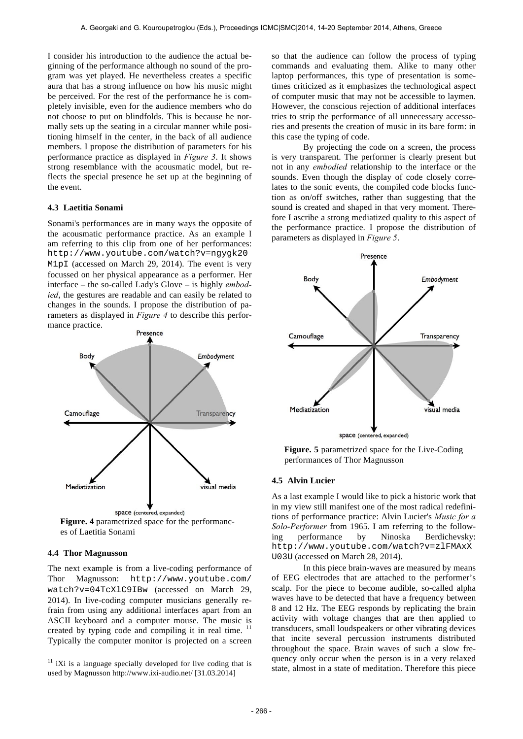I consider his introduction to the audience the actual beginning of the performance although no sound of the program was yet played. He nevertheless creates a specific aura that has a strong influence on how his music might be perceived. For the rest of the performance he is completely invisible, even for the audience members who do not choose to put on blindfolds. This is because he normally sets up the seating in a circular manner while positioning himself in the center, in the back of all audience members. I propose the distribution of parameters for his performance practice as displayed in *Figure 3*. It shows strong resemblance with the acousmatic model, but reflects the special presence he set up at the beginning of the event.

#### **4.3 Laetitia Sonami**

Sonami's performances are in many ways the opposite of the acousmatic performance practice. As an example I am referring to this clip from one of her performances: http://www.youtube.com/watch?v=ngygk20 M1pI (accessed on March 29, 2014). The event is very focussed on her physical appearance as a performer. Her interface – the so-called Lady's Glove – is highly *embodied*, the gestures are readable and can easily be related to changes in the sounds. I propose the distribution of parameters as displayed in *Figure 4* to describe this performance practice.



es of Laetitia Sonami

#### **4.4 Thor Magnusson**

l

The next example is from a live-coding performance of Thor Magnusson: http://www.youtube.com/ watch?v=04TcXlC9IBw (accessed on March 29, 2014). In live-coding computer musicians generally refrain from using any additional interfaces apart from an ASCII keyboard and a computer mouse. The music is created by typing code and compiling it in real time. <sup>11</sup> Typically the computer monitor is projected on a screen

so that the audience can follow the process of typing commands and evaluating them. Alike to many other laptop performances, this type of presentation is sometimes criticized as it emphasizes the technological aspect of computer music that may not be accessible to laymen. However, the conscious rejection of additional interfaces tries to strip the performance of all unnecessary accessories and presents the creation of music in its bare form: in this case the typing of code.

By projecting the code on a screen, the process is very transparent. The performer is clearly present but not in any *embodied* relationship to the interface or the sounds. Even though the display of code closely correlates to the sonic events, the compiled code blocks function as on/off switches, rather than suggesting that the sound is created and shaped in that very moment. Therefore I ascribe a strong mediatized quality to this aspect of the performance practice. I propose the distribution of parameters as displayed in *Figure 5*.



**Figure. 5** parametrized space for the Live-Coding performances of Thor Magnusson

#### **4.5 Alvin Lucier**

As a last example I would like to pick a historic work that in my view still manifest one of the most radical redefinitions of performance practice: Alvin Lucier's *Music for a Solo-Performer* from 1965. I am referring to the following performance by Ninoska Berdichevsky: http://www.youtube.com/watch?v=zlFMAxX U03U (accessed on March 28, 2014).

In this piece brain-waves are measured by means of EEG electrodes that are attached to the performer's scalp. For the piece to become audible, so-called alpha waves have to be detected that have a frequency between 8 and 12 Hz. The EEG responds by replicating the brain activity with voltage changes that are then applied to transducers, small loudspeakers or other vibrating devices that incite several percussion instruments distributed throughout the space. Brain waves of such a slow frequency only occur when the person is in a very relaxed state, almost in a state of meditation. Therefore this piece

 $11$  iXi is a language specially developed for live coding that is used by Magnusson http://www.ixi-audio.net/ [31.03.2014]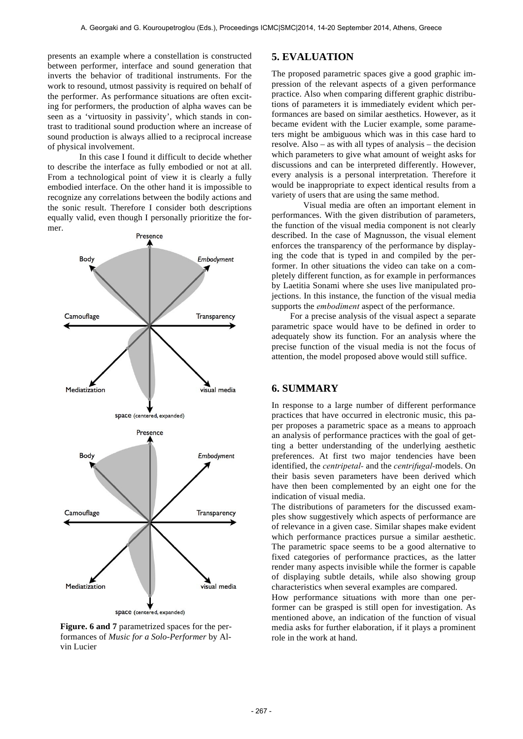presents an example where a constellation is constructed between performer, interface and sound generation that inverts the behavior of traditional instruments. For the work to resound, utmost passivity is required on behalf of the performer. As performance situations are often exciting for performers, the production of alpha waves can be seen as a 'virtuosity in passivity', which stands in contrast to traditional sound production where an increase of sound production is always allied to a reciprocal increase of physical involvement.

In this case I found it difficult to decide whether to describe the interface as fully embodied or not at all. From a technological point of view it is clearly a fully embodied interface. On the other hand it is impossible to recognize any correlations between the bodily actions and the sonic result. Therefore I consider both descriptions equally valid, even though I personally prioritize the former.



**Figure. 6 and 7** parametrized spaces for the performances of *Music for a Solo-Performer* by Alvin Lucier

### **5. EVALUATION**

The proposed parametric spaces give a good graphic impression of the relevant aspects of a given performance practice. Also when comparing different graphic distributions of parameters it is immediately evident which performances are based on similar aesthetics. However, as it became evident with the Lucier example, some parameters might be ambiguous which was in this case hard to resolve. Also – as with all types of analysis – the decision which parameters to give what amount of weight asks for discussions and can be interpreted differently. However, every analysis is a personal interpretation. Therefore it would be inappropriate to expect identical results from a variety of users that are using the same method.

Visual media are often an important element in performances. With the given distribution of parameters, the function of the visual media component is not clearly described. In the case of Magnusson, the visual element enforces the transparency of the performance by displaying the code that is typed in and compiled by the performer. In other situations the video can take on a completely different function, as for example in performances by Laetitia Sonami where she uses live manipulated projections. In this instance, the function of the visual media supports the *embodiment* aspect of the performance.

For a precise analysis of the visual aspect a separate parametric space would have to be defined in order to adequately show its function. For an analysis where the precise function of the visual media is not the focus of attention, the model proposed above would still suffice.

## **6. SUMMARY**

In response to a large number of different performance practices that have occurred in electronic music, this paper proposes a parametric space as a means to approach an analysis of performance practices with the goal of getting a better understanding of the underlying aesthetic preferences. At first two major tendencies have been identified, the *centripetal-* and the *centrifugal-*models. On their basis seven parameters have been derived which have then been complemented by an eight one for the indication of visual media.

The distributions of parameters for the discussed examples show suggestively which aspects of performance are of relevance in a given case. Similar shapes make evident which performance practices pursue a similar aesthetic. The parametric space seems to be a good alternative to fixed categories of performance practices, as the latter render many aspects invisible while the former is capable of displaying subtle details, while also showing group characteristics when several examples are compared.

How performance situations with more than one performer can be grasped is still open for investigation. As mentioned above, an indication of the function of visual media asks for further elaboration, if it plays a prominent role in the work at hand.